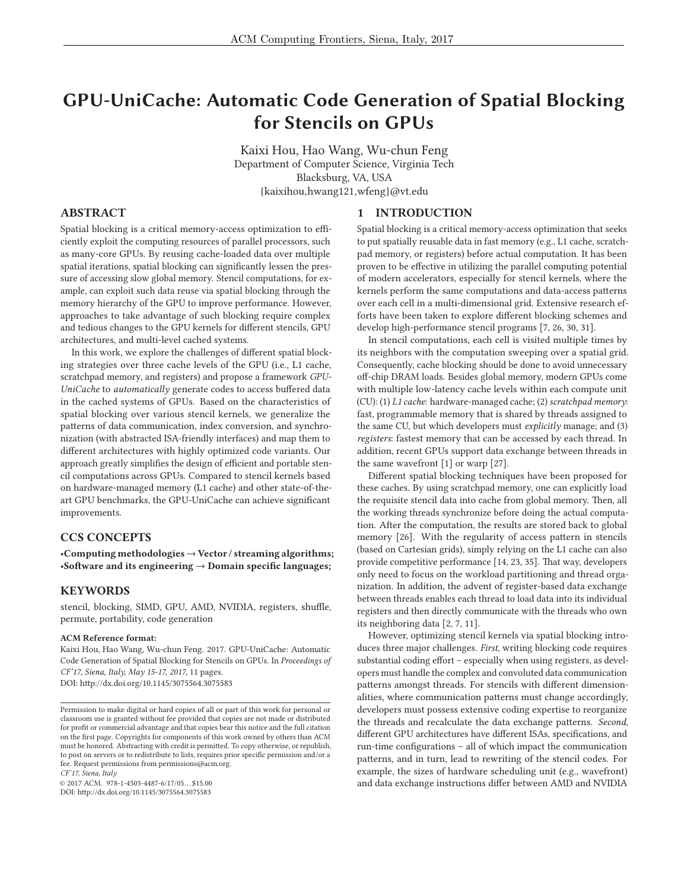# **GPU-UniCache: Automatic Code Generation of Spatial Blocking for Stencils on GPUs**

Kaixi Hou, Hao Wang, Wu-chun Feng Department of Computer Science, Virginia Tech Blacksburg, VA, USA {kaixihou,hwang121,wfeng}@vt.edu

### **ABSTRACT**

Spatial blocking is a critical memory-access optimization to efficiently exploit the computing resources of parallel processors, such as many-core GPUs. By reusing cache-loaded data over multiple spatial iterations, spatial blocking can significantly lessen the pressure of accessing slow global memory. Stencil computations, for example, can exploit such data reuse via spatial blocking through the memory hierarchy of the GPU to improve performance. However, approaches to take advantage of such blocking require complex and tedious changes to the GPU kernels for different stencils, GPU architectures, and multi-level cached systems.

In this work, we explore the challenges of different spatial blocking strategies over three cache levels of the GPU (i.e., L1 cache, scratchpad memory, and registers) and propose a framework *GPU-UniCache* to *automatically* generate codes to access buffered data in the cached systems of GPUs. Based on the characteristics of spatial blocking over various stencil kernels, we generalize the patterns of data communication, index conversion, and synchronization (with abstracted ISA-friendly interfaces) and map them to different architectures with highly optimized code variants. Our approach greatly simplifies the design of efficient and portable stencil computations across GPUs. Compared to stencil kernels based on hardware-managed memory (L1 cache) and other state-of-theart GPU benchmarks, the GPU-UniCache can achieve significant improvements.

# **CCS CONCEPTS**

•**Computing methodologies** → **Vector / streaming algorithms;** •**Software and its engineering** → **Domain specific languages;**

#### **KEYWORDS**

stencil, blocking, SIMD, GPU, AMD, NVIDIA, registers, shuffle, permute, portability, code generation

#### **ACM Reference format:**

Kaixi Hou, Hao Wang, Wu-chun Feng. 2017. GPU-UniCache: Automatic Code Generation of Spatial Blocking for Stencils on GPUs. In *Proceedings of CF'17, Siena, Italy, May 15-17, 2017,* 11 pages. DOI: http://dx.doi.org/10.1145/3075564.3075583

*CF'17, Siena, Italy*

 $@ 2017$  ACM. 978-1-4503-4487-6/17/05...\$15.00 DOI: http://dx.doi.org/10.1145/3075564.3075583

#### **1 INTRODUCTION**

Spatial blocking is a critical memory-access optimization that seeks to put spatially reusable data in fast memory (e.g., L1 cache, scratchpad memory, or registers) before actual computation. It has been proven to be effective in utilizing the parallel computing potential of modern accelerators, especially for stencil kernels, where the kernels perform the same computations and data-access patterns over each cell in a multi-dimensional grid. Extensive research efforts have been taken to explore different blocking schemes and develop high-performance stencil programs [7, 26, 30, 31].

In stencil computations, each cell is visited multiple times by its neighbors with the computation sweeping over a spatial grid. Consequently, cache blocking should be done to avoid unnecessary off-chip DRAM loads. Besides global memory, modern GPUs come with multiple low-latency cache levels within each compute unit (CU): (1) *L1 cache*: hardware-managed cache; (2) *scratchpad memory*: fast, programmable memory that is shared by threads assigned to the same CU, but which developers must *explicitly* manage; and (3) *registers*: fastest memory that can be accessed by each thread. In addition, recent GPUs support data exchange between threads in the same wavefront [1] or warp [27].

Different spatial blocking techniques have been proposed for these caches. By using scratchpad memory, one can explicitly load the requisite stencil data into cache from global memory. Then, all the working threads synchronize before doing the actual computation. After the computation, the results are stored back to global memory [26]. With the regularity of access pattern in stencils (based on Cartesian grids), simply relying on the L1 cache can also provide competitive performance [14, 23, 35]. That way, developers only need to focus on the workload partitioning and thread organization. In addition, the advent of register-based data exchange between threads enables each thread to load data into its individual registers and then directly communicate with the threads who own its neighboring data [2, 7, 11].

However, optimizing stencil kernels via spatial blocking introduces three major challenges. *First*, writing blocking code requires substantial coding effort – especially when using registers, as developers must handle the complex and convoluted data communication patterns amongst threads. For stencils with different dimensionalities, where communication patterns must change accordingly, developers must possess extensive coding expertise to reorganize the threads and recalculate the data exchange patterns. *Second*, different GPU architectures have different ISAs, specifications, and run-time configurations – all of which impact the communication patterns, and in turn, lead to rewriting of the stencil codes. For example, the sizes of hardware scheduling unit (e.g., wavefront) and data exchange instructions differ between AMD and NVIDIA

Permission to make digital or hard copies of all or part of this work for personal or classroom use is granted without fee provided that copies are not made or distributed for profit or commercial advantage and that copies bear this notice and the full citation on the first page. Copyrights for components of this work owned by others than ACM must be honored. Abstracting with credit is permitted. To copy otherwise, or republish, to post on servers or to redistribute to lists, requires prior specific permission and/or a fee. Request permissions from permissions@acm.org.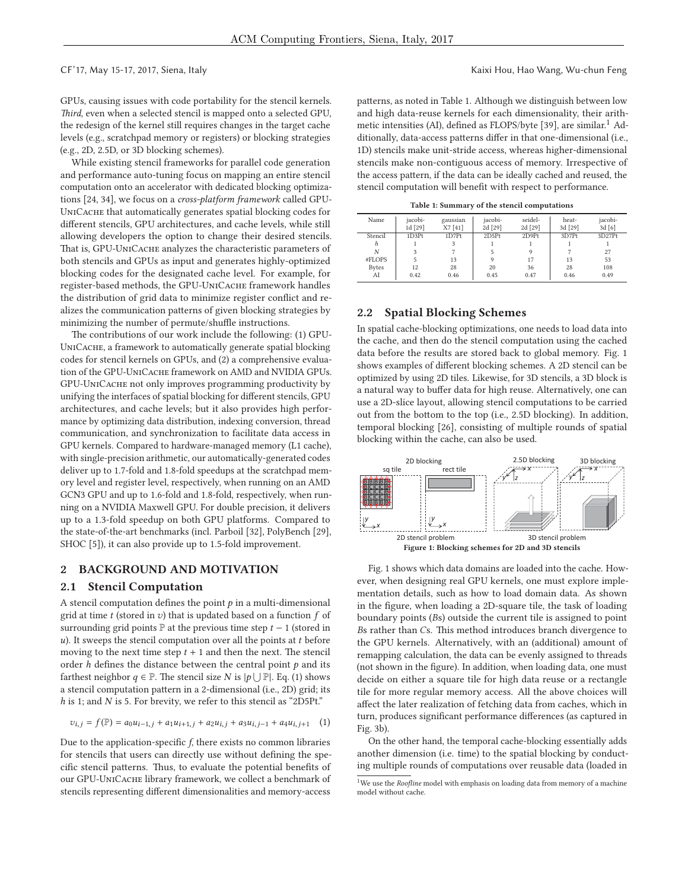#### CF'17, May 15-17, 2017, Siena, Italy Kaixi Hou, Hao Wang, Wu-chun Feng

GPUs, causing issues with code portability for the stencil kernels. *Third*, even when a selected stencil is mapped onto a selected GPU, the redesign of the kernel still requires changes in the target cache levels (e.g., scratchpad memory or registers) or blocking strategies (e.g., 2D, 2.5D, or 3D blocking schemes).

While existing stencil frameworks for parallel code generation and performance auto-tuning focus on mapping an entire stencil computation onto an accelerator with dedicated blocking optimizations [24, 34], we focus on a *cross-platform framework* called GPU-UniCache that automatically generates spatial blocking codes for different stencils, GPU architectures, and cache levels, while still allowing developers the option to change their desired stencils. That is, GPU-UniCache analyzes the characteristic parameters of both stencils and GPUs as input and generates highly-optimized blocking codes for the designated cache level. For example, for register-based methods, the GPU-UniCache framework handles the distribution of grid data to minimize register conflict and realizes the communication patterns of given blocking strategies by minimizing the number of permute/shuffle instructions.

The contributions of our work include the following: (1) GPU-UNICACHE, a framework to automatically generate spatial blocking codes for stencil kernels on GPUs, and (2) a comprehensive evaluation of the GPU-UNICACHE framework on AMD and NVIDIA GPUs. GPU-UniCache not only improves programming productivity by unifying the interfaces of spatial blocking for different stencils, GPU architectures, and cache levels; but it also provides high performance by optimizing data distribution, indexing conversion, thread communication, and synchronization to facilitate data access in GPU kernels. Compared to hardware-managed memory (L1 cache), with single-precision arithmetic, our automatically-generated codes deliver up to 1.7-fold and 1.8-fold speedups at the scratchpad memory level and register level, respectively, when running on an AMD GCN3 GPU and up to 1.6-fold and 1.8-fold, respectively, when running on a NVIDIA Maxwell GPU. For double precision, it delivers up to a 1.3-fold speedup on both GPU platforms. Compared to the state-of-the-art benchmarks (incl. Parboil [32], PolyBench [29], SHOC [5]), it can also provide up to 1.5-fold improvement.

#### **2 BACKGROUND AND MOTIVATION**

#### **2.1 Stencil Computation**

A stencil computation defines the point  $p$  in a multi-dimensional grid at time  $t$  (stored in  $v$ ) that is updated based on a function  $f$  of surrounding grid points  $\mathbb P$  at the previous time step  $t - 1$  (stored in  $u$ ). It sweeps the stencil computation over all the points at  $t$  before moving to the next time step  $t + 1$  and then the next. The stencil order  $h$  defines the distance between the central point  $p$  and its farthest neighbor  $q \in \mathbb{P}$ . The stencil size N is  $|p \cup \mathbb{P}|$ . Eq. (1) shows a stencil computation pattern in a 2-dimensional (i.e., 2D) grid; its h is 1; and N is 5. For brevity, we refer to this stencil as "2D5Pt."

$$
v_{i,j} = f(\mathbb{P}) = a_0 u_{i-1,j} + a_1 u_{i+1,j} + a_2 u_{i,j} + a_3 u_{i,j-1} + a_4 u_{i,j+1} \quad (1)
$$

Due to the application-specific *f*, there exists no common libraries for stencils that users can directly use without defining the specific stencil patterns. Thus, to evaluate the potential benefits of our GPU-UniCache library framework, we collect a benchmark of stencils representing different dimensionalities and memory-access

patterns, as noted in Table 1. Although we distinguish between low and high data-reuse kernels for each dimensionality, their arithmetic intensities (AI), defined as FLOPS/byte [39], are similar.<sup>1</sup> Additionally, data-access patterns differ in that one-dimensional (i.e., 1D) stencils make unit-stride access, whereas higher-dimensional stencils make non-contiguous access of memory. Irrespective of the access pattern, if the data can be ideally cached and reused, the stencil computation will benefit with respect to performance.

|  | Table 1: Summary of the stencil computations |  |  |  |
|--|----------------------------------------------|--|--|--|
|  |                                              |  |  |  |

| Name         | iacobi- | gaussian | iacobi- | seidel- | heat-   | jacobi-            |
|--------------|---------|----------|---------|---------|---------|--------------------|
|              | 1d [29] | X7 [41]  | 2d [29] | 2d [29] | 3d [29] | 3d[6]              |
| Stencil      | 1D3Pt   | 1D7Pt    | 2D5Pt   | 2D9Pt   | 3D7Pt   | 3D27P <sub>t</sub> |
| h            |         | 3        |         |         |         |                    |
| N            | 3       |          |         | 9       |         | 27                 |
| #FLOPS       | 5       | 13       | 9       | 17      | 13      | 53                 |
| <b>Bytes</b> | 12      | 28       | 20      | 36      | 28      | 108                |
| AI           | 0.42    | 0.46     | 0.45    | 0.47    | 0.46    | 0.49               |

#### **2.2 Spatial Blocking Schemes**

In spatial cache-blocking optimizations, one needs to load data into the cache, and then do the stencil computation using the cached data before the results are stored back to global memory. Fig. 1 shows examples of different blocking schemes. A 2D stencil can be optimized by using 2D tiles. Likewise, for 3D stencils, a 3D block is a natural way to buffer data for high reuse. Alternatively, one can use a 2D-slice layout, allowing stencil computations to be carried out from the bottom to the top (i.e., 2.5D blocking). In addition, temporal blocking [26], consisting of multiple rounds of spatial blocking within the cache, can also be used.



Fig. 1 shows which data domains are loaded into the cache. However, when designing real GPU kernels, one must explore implementation details, such as how to load domain data. As shown in the figure, when loading a 2D-square tile, the task of loading boundary points (Bs) outside the current tile is assigned to point Bs rather than Cs. This method introduces branch divergence to the GPU kernels. Alternatively, with an (additional) amount of remapping calculation, the data can be evenly assigned to threads (not shown in the figure). In addition, when loading data, one must decide on either a square tile for high data reuse or a rectangle tile for more regular memory access. All the above choices will affect the later realization of fetching data from caches, which in turn, produces significant performance differences (as captured in Fig. 3b).

On the other hand, the temporal cache-blocking essentially adds another dimension (i.e. time) to the spatial blocking by conducting multiple rounds of computations over reusable data (loaded in

<sup>&</sup>lt;sup>1</sup>We use the *Roofline* model with emphasis on loading data from memory of a machine model without cache.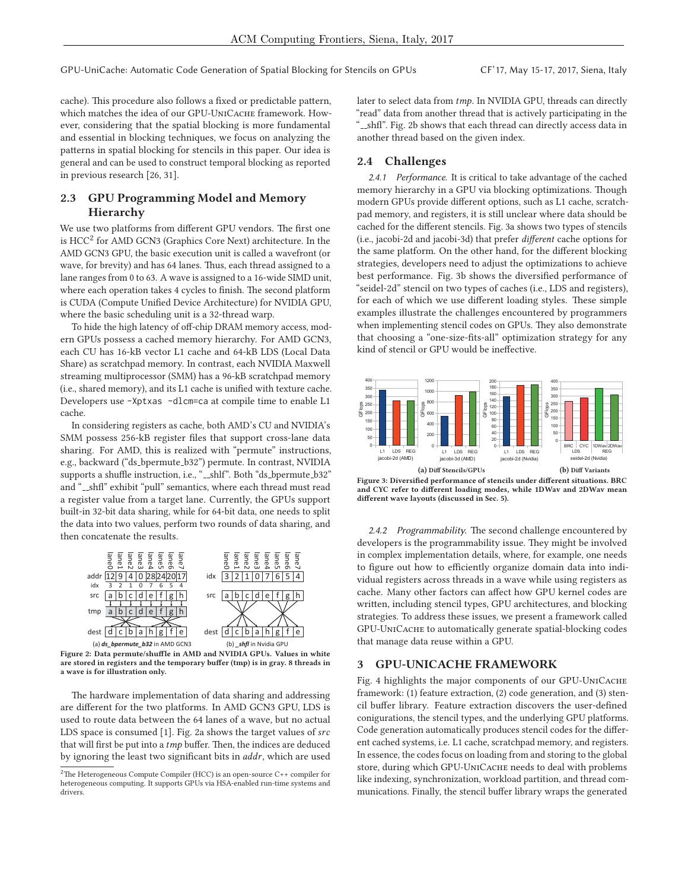cache). This procedure also follows a fixed or predictable pattern, which matches the idea of our GPU-UNICACHE framework. However, considering that the spatial blocking is more fundamental and essential in blocking techniques, we focus on analyzing the patterns in spatial blocking for stencils in this paper. Our idea is general and can be used to construct temporal blocking as reported in previous research [26, 31].

# **2.3 GPU Programming Model and Memory Hierarchy**

We use two platforms from different GPU vendors. The first one is  $HCC<sup>2</sup>$  for AMD GCN3 (Graphics Core Next) architecture. In the AMD GCN3 GPU, the basic execution unit is called a wavefront (or wave, for brevity) and has 64 lanes. Thus, each thread assigned to a lane ranges from 0 to 63. A wave is assigned to a 16-wide SIMD unit, where each operation takes 4 cycles to finish. The second platform is CUDA (Compute Unified Device Architecture) for NVIDIA GPU, where the basic scheduling unit is a 32-thread warp.

To hide the high latency of off-chip DRAM memory access, modern GPUs possess a cached memory hierarchy. For AMD GCN3, each CU has 16-kB vector L1 cache and 64-kB LDS (Local Data Share) as scratchpad memory. In contrast, each NVIDIA Maxwell streaming multiprocessor (SMM) has a 96-kB scratchpad memory (i.e., shared memory), and its L1 cache is unified with texture cache. Developers use -Xptxas -dlcm=ca at compile time to enable L1 cache.

In considering registers as cache, both AMD's CU and NVIDIA's SMM possess 256-kB register files that support cross-lane data sharing. For AMD, this is realized with "permute" instructions, e.g., backward ("ds\_bpermute\_b32") permute. In contrast, NVIDIA supports a shuffle instruction, i.e., "\_\_shlf". Both "ds\_bpermute\_b32" and "...shfl" exhibit "pull" semantics, where each thread must read a register value from a target lane. Currently, the GPUs support built-in 32-bit data sharing, while for 64-bit data, one needs to split the data into two values, perform two rounds of data sharing, and then concatenate the results.



**Figure 2: Data permute/shuffle in AMD and NVIDIA GPUs. Values in white are stored in registers and the temporary buffer (tmp) is in gray. 8 threads in a wave is for illustration only.**

The hardware implementation of data sharing and addressing are different for the two platforms. In AMD GCN3 GPU, LDS is used to route data between the 64 lanes of a wave, but no actual LDS space is consumed [1]. Fig. 2a shows the target values of src that will first be put into a tmp buffer. Then, the indices are deduced by ignoring the least two significant bits in addr, which are used later to select data from tmp. In NVIDIA GPU, threads can directly "read" data from another thread that is actively participating in the "...shfl". Fig. 2b shows that each thread can directly access data in another thread based on the given index.

## **2.4 Challenges**

2.4.1 Performance. It is critical to take advantage of the cached memory hierarchy in a GPU via blocking optimizations. Though modern GPUs provide different options, such as L1 cache, scratchpad memory, and registers, it is still unclear where data should be cached for the different stencils. Fig. 3a shows two types of stencils (i.e., jacobi-2d and jacobi-3d) that prefer *different* cache options for the same platform. On the other hand, for the different blocking strategies, developers need to adjust the optimizations to achieve best performance. Fig. 3b shows the diversified performance of "seidel-2d" stencil on two types of caches (i.e., LDS and registers), for each of which we use different loading styles. These simple examples illustrate the challenges encountered by programmers when implementing stencil codes on GPUs. They also demonstrate that choosing a "one-size-fits-all" optimization strategy for any kind of stencil or GPU would be ineffective.



**Figure 3: Diversified performance of stencils under different situations. BRC and CYC refer to different loading modes, while 1DWav and 2DWav mean different wave layouts (discussed in Sec. 5).**

2.4.2 Programmability. The second challenge encountered by developers is the programmability issue. They might be involved in complex implementation details, where, for example, one needs to figure out how to efficiently organize domain data into individual registers across threads in a wave while using registers as cache. Many other factors can affect how GPU kernel codes are written, including stencil types, GPU architectures, and blocking strategies. To address these issues, we present a framework called GPU-UniCache to automatically generate spatial-blocking codes that manage data reuse within a GPU.

#### **3 GPU-UNICACHE FRAMEWORK**

Fig. 4 highlights the major components of our GPU-UniCache framework: (1) feature extraction, (2) code generation, and (3) stencil buffer library. Feature extraction discovers the user-defined conigurations, the stencil types, and the underlying GPU platforms. Code generation automatically produces stencil codes for the different cached systems, i.e. L1 cache, scratchpad memory, and registers. In essence, the codes focus on loading from and storing to the global store, during which GPU-UNICACHE needs to deal with problems like indexing, synchronization, workload partition, and thread communications. Finally, the stencil buffer library wraps the generated

<sup>&</sup>lt;sup>2</sup>The Heterogeneous Compute Compiler (HCC) is an open-source C++ compiler for heterogeneous computing. It supports GPUs via HSA-enabled run-time systems and drivers.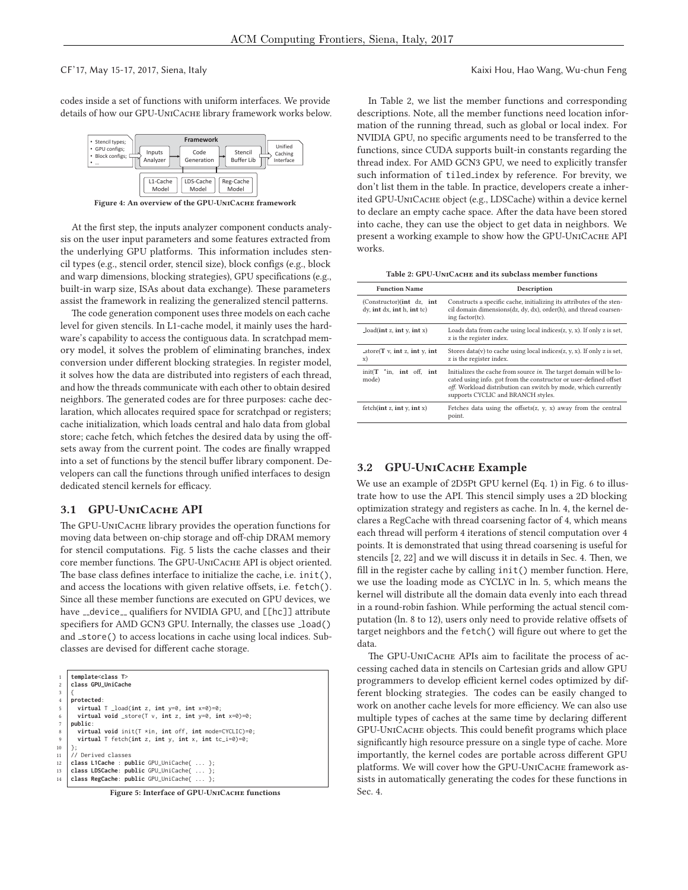CF'17, May 15-17, 2017, Siena, Italy Kaixi Hou, Hao Wang, Wu-chun Feng

codes inside a set of functions with uniform interfaces. We provide details of how our GPU-UniCache library framework works below.



**Figure 4: An overview of the GPU-UniCache framework**

At the first step, the inputs analyzer component conducts analysis on the user input parameters and some features extracted from the underlying GPU platforms. This information includes stencil types (e.g., stencil order, stencil size), block configs (e.g., block and warp dimensions, blocking strategies), GPU specifications (e.g., built-in warp size, ISAs about data exchange). These parameters assist the framework in realizing the generalized stencil patterns.

The code generation component uses three models on each cache level for given stencils. In L1-cache model, it mainly uses the hardware's capability to access the contiguous data. In scratchpad memory model, it solves the problem of eliminating branches, index conversion under different blocking strategies. In register model, it solves how the data are distributed into registers of each thread, and how the threads communicate with each other to obtain desired neighbors. The generated codes are for three purposes: cache declaration, which allocates required space for scratchpad or registers; cache initialization, which loads central and halo data from global store; cache fetch, which fetches the desired data by using the offsets away from the current point. The codes are finally wrapped into a set of functions by the stencil buffer library component. Developers can call the functions through unified interfaces to design dedicated stencil kernels for efficacy.

#### **3.1 GPU-UniCache API**

The GPU-UniCache library provides the operation functions for moving data between on-chip storage and off-chip DRAM memory for stencil computations. Fig. 5 lists the cache classes and their core member functions. The GPU-UNICACHE API is object oriented. The base class defines interface to initialize the cache, i.e. init(), and access the locations with given relative offsets, i.e. fetch(). Since all these member functions are executed on GPU devices, we have \_device\_ qualifiers for NVIDIA GPU, and [[hc]] attribute specifiers for AMD GCN3 GPU. Internally, the classes use \_load() and \_store() to access locations in cache using local indices. Subclasses are devised for different cache storage.

|                 | template <class t=""></class>                                  |
|-----------------|----------------------------------------------------------------|
| $\overline{c}$  | class GPU_UniCache                                             |
| 3               |                                                                |
| $\overline{4}$  | protected:                                                     |
| -5              | virtual $T$ _load(int z, int $y=0$ , int $x=0$ )=0;            |
| 6               | virtual void _store(T v, int z, int $y=0$ , int $x=0$ )=0;     |
| $7\phantom{.0}$ | public:                                                        |
| 8               | virtual void init( $T \star in$ , int off, int mode=CYCLIC)=0; |
| $\overline{9}$  | virtual T fetch(int z, int y, int x, int tc_i=0)=0;            |
| 10              | };                                                             |
| 11              | // Derived classes                                             |
| 12              | class L1Cache : public GPU_UniCache{  };                       |
| 13              | class LDSCache: public GPU_UniCache{  };                       |
| 14              | class RegCache: public GPU_UniCache{  };                       |
|                 |                                                                |

**Figure 5: Interface of GPU-UniCache functions**

In Table 2, we list the member functions and corresponding descriptions. Note, all the member functions need location information of the running thread, such as global or local index. For NVIDIA GPU, no specific arguments need to be transferred to the functions, since CUDA supports built-in constants regarding the thread index. For AMD GCN3 GPU, we need to explicitly transfer such information of tiled\_index by reference. For brevity, we don't list them in the table. In practice, developers create a inherited GPU-UniCache object (e.g., LDSCache) within a device kernel to declare an empty cache space. After the data have been stored into cache, they can use the object to get data in neighbors. We present a working example to show how the GPU-UniCache API works.

**Table 2: GPU-UniCache and its subclass member functions**

| <b>Function Name</b>                                                | Description                                                                                                                                                                                                                                      |  |  |  |  |  |
|---------------------------------------------------------------------|--------------------------------------------------------------------------------------------------------------------------------------------------------------------------------------------------------------------------------------------------|--|--|--|--|--|
| (Constructor)(int dz, int<br>$dy$ , int $dx$ , int $h$ , int $tc$ ) | Constructs a specific cache, initializing its attributes of the sten-<br>cil domain dimensions(dz, dy, dx), order(h), and thread coarsen-<br>ing factor(tc).                                                                                     |  |  |  |  |  |
| $\text{load}(\text{int } z, \text{int } y, \text{int } x)$          | Loads data from cache using local indices $(z, y, x)$ . If only z is set,<br>z is the register index.                                                                                                                                            |  |  |  |  |  |
| _store( $T$ v, int z, int y, int<br>x)                              | Stores data(v) to cache using local indices(z, y, x). If only z is set,<br>z is the register index.                                                                                                                                              |  |  |  |  |  |
| $init(T \text{ in.} int off. int)$<br>mode)                         | Initializes the cache from source in. The target domain will be lo-<br>cated using info. got from the constructor or user-defined offset<br>off. Workload distribution can switch by mode, which currently<br>supports CYCLIC and BRANCH styles. |  |  |  |  |  |
| fetch(int z, int y, int x)                                          | Fetches data using the offsets $(z, y, x)$ away from the central<br>point.                                                                                                                                                                       |  |  |  |  |  |

#### **3.2 GPU-UniCache Example**

We use an example of 2D5Pt GPU kernel (Eq. 1) in Fig. 6 to illustrate how to use the API. This stencil simply uses a 2D blocking optimization strategy and registers as cache. In ln. 4, the kernel declares a RegCache with thread coarsening factor of 4, which means each thread will perform 4 iterations of stencil computation over 4 points. It is demonstrated that using thread coarsening is useful for stencils [2, 22] and we will discuss it in details in Sec. 4. Then, we fill in the register cache by calling init() member function. Here, we use the loading mode as CYCLYC in ln. 5, which means the kernel will distribute all the domain data evenly into each thread in a round-robin fashion. While performing the actual stencil computation (ln. 8 to 12), users only need to provide relative offsets of target neighbors and the fetch() will figure out where to get the data.

The GPU-UniCache APIs aim to facilitate the process of accessing cached data in stencils on Cartesian grids and allow GPU programmers to develop efficient kernel codes optimized by different blocking strategies. The codes can be easily changed to work on another cache levels for more efficiency. We can also use multiple types of caches at the same time by declaring different GPU-UniCache objects. This could benefit programs which place significantly high resource pressure on a single type of cache. More importantly, the kernel codes are portable across different GPU platforms. We will cover how the GPU-UNICACHE framework assists in automatically generating the codes for these functions in Sec. 4.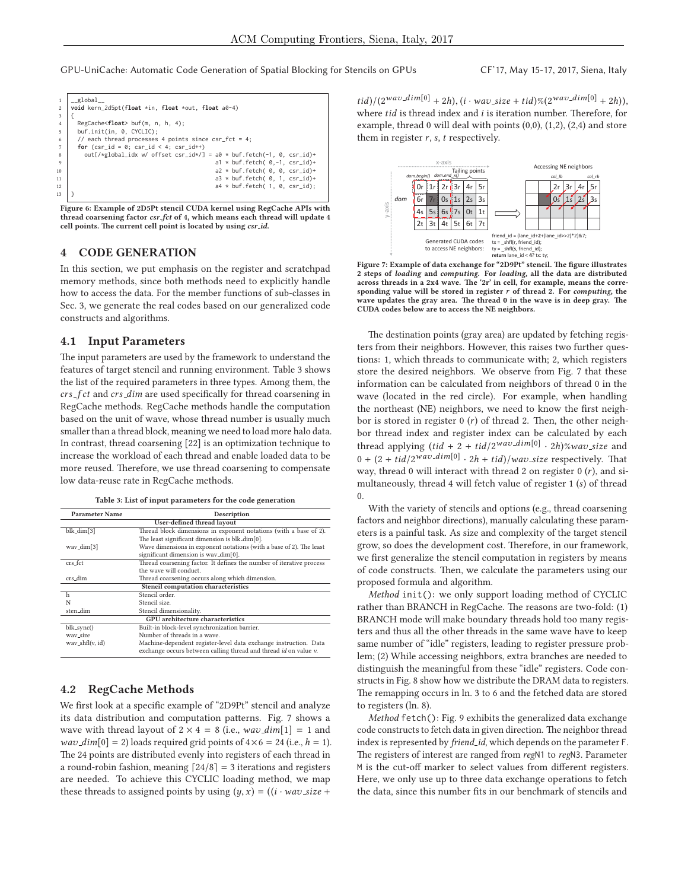| 2              | global<br>void kern_2d5pt(float *in, float *out, float a0-4)          |
|----------------|-----------------------------------------------------------------------|
| 3              |                                                                       |
| $\overline{4}$ | RegCache <float> buf(m, n, h, 4);</float>                             |
| 5              | buf.init(in, 0, CYCLIC);                                              |
| 6              | // each thread processes 4 points since $csr_fct = 4$ ;               |
| 7              | for $(csr_id = 0; csr_id < 4; csr_id++)$                              |
| $\mathbf{g}$   | out[/*global_idx w/ offset csr_id*/] = a0 * buf.fetch(-1, 0, csr_id)+ |
| $\mathbf{q}$   | $a1 * but.f. fetch( 0, -1, csr_id)+$                                  |
| 10             | $a2 * buf.fetch( 0, 0, csr_id)+$                                      |
| 11             | $a3 * buf.fetch( 0, 1, csr_id)+$                                      |
| 12             | $a4 * buf.fetch( 1, 0, csr_id);$                                      |
| 13             |                                                                       |
|                |                                                                       |

**Figure 6: Example of 2D5Pt stencil CUDA kernel using RegCache APIs with thread coarsening factor** *csr fct* **of 4, which means each thread will update 4 cell points. The current cell point is located by using** *csr id***.**

#### **4 CODE GENERATION**

In this section, we put emphasis on the register and scratchpad memory methods, since both methods need to explicitly handle how to access the data. For the member functions of sub-classes in Sec. 3, we generate the real codes based on our generalized code constructs and algorithms.

#### **4.1 Input Parameters**

The input parameters are used by the framework to understand the features of target stencil and running environment. Table 3 shows the list of the required parameters in three types. Among them, the crs\_f ct and crs\_dim are used specifically for thread coarsening in RegCache methods. RegCache methods handle the computation based on the unit of wave, whose thread number is usually much smaller than a thread block, meaning we need to load more halo data. In contrast, thread coarsening [22] is an optimization technique to increase the workload of each thread and enable loaded data to be more reused. Therefore, we use thread coarsening to compensate low data-reuse rate in RegCache methods.

|  |  | Table 3: List of input parameters for the code generation |
|--|--|-----------------------------------------------------------|
|--|--|-----------------------------------------------------------|

| <b>Parameter Name</b>   | Description                                                          |  |  |  |  |  |  |  |
|-------------------------|----------------------------------------------------------------------|--|--|--|--|--|--|--|
|                         | User-defined thread layout                                           |  |  |  |  |  |  |  |
| blk_dim[3]              | Thread block dimensions in exponent notations (with a base of 2).    |  |  |  |  |  |  |  |
|                         | The least significant dimension is blk_dim[0].                       |  |  |  |  |  |  |  |
| wav <sub>-dim</sub> [3] | Wave dimensions in exponent notations (with a base of 2). The least  |  |  |  |  |  |  |  |
|                         | significant dimension is wav_dim[0].                                 |  |  |  |  |  |  |  |
| crs fct                 | Thread coarsening factor. It defines the number of iterative process |  |  |  |  |  |  |  |
| the wave will conduct.  |                                                                      |  |  |  |  |  |  |  |
| crs_dim                 | Thread coarsening occurs along which dimension.                      |  |  |  |  |  |  |  |
|                         | Stencil computation characteristics                                  |  |  |  |  |  |  |  |
| h                       | Stencil order.                                                       |  |  |  |  |  |  |  |
| N                       | Stencil size.                                                        |  |  |  |  |  |  |  |
| sten <sub>-dim</sub>    | Stencil dimensionality.                                              |  |  |  |  |  |  |  |
|                         | <b>GPU</b> architecture characteristics                              |  |  |  |  |  |  |  |
| blk_sync()              | Built-in block-level synchronization barrier.                        |  |  |  |  |  |  |  |
| way_size                | Number of threads in a wave.                                         |  |  |  |  |  |  |  |
| way_shfl(v, id)         | Machine-dependent register-level data exchange instruction. Data     |  |  |  |  |  |  |  |
|                         | exchange occurs between calling thread and thread id on value v.     |  |  |  |  |  |  |  |

### **4.2 RegCache Methods**

We first look at a specific example of "2D9Pt" stencil and analyze its data distribution and computation patterns. Fig. 7 shows a wave with thread layout of  $2 \times 4 = 8$  (i.e.,  $wav\_dim[1] = 1$  and *wav\_dim*[0] = 2) loads required grid points of  $4 \times 6 = 24$  (i.e.,  $h = 1$ ). The 24 points are distributed evenly into registers of each thread in a round-robin fashion, meaning  $\lceil 24/8 \rceil = 3$  iterations and registers are needed. To achieve this CYCLIC loading method, we map these threads to assigned points by using  $(y, x) = ((i \cdot \text{wav\_size} +$   $tid)/(2^{Wav\_dim[0]} + 2h), (i \cdot wav\_size + tid) \% (2^{Wav\_dim[0]} + 2h)),$ where  $tid$  is thread index and  $i$  is iteration number. Therefore, for example, thread 0 will deal with points (0,0), (1,2), (2,4) and store them in register  $r$ ,  $s$ ,  $t$  respectively.



**Figure 7: Example of data exchange for "2D9Pt" stencil. The figure illustrates 2 steps of** *loading* **and** *computing***. For** *loading***, all the data are distributed across threads in a 2x4 wave. The '2r' in cell, for example, means the corresponding value will be stored in register** r **of thread 2. For** *computing***, the wave updates the gray area. The thread 0 in the wave is in deep gray. The CUDA codes below are to access the NE neighbors.**

The destination points (gray area) are updated by fetching registers from their neighbors. However, this raises two further questions: 1, which threads to communicate with; 2, which registers store the desired neighbors. We observe from Fig. 7 that these information can be calculated from neighbors of thread 0 in the wave (located in the red circle). For example, when handling the northeast (NE) neighbors, we need to know the first neighbor is stored in register  $0(r)$  of thread 2. Then, the other neighbor thread index and register index can be calculated by each thread applying  $(tid + 2 + tid/2^{wav\_dim[0]} \cdot 2h)$ %wav\_size and  $0 + (2 + tid/2^{wav\_dim[0]} \cdot 2h + tid)/wav\_size$  respectively. That way, thread 0 will interact with thread 2 on register  $0(r)$ , and simultaneously, thread 4 will fetch value of register 1 (s) of thread 0.

With the variety of stencils and options (e.g., thread coarsening factors and neighbor directions), manually calculating these parameters is a painful task. As size and complexity of the target stencil grow, so does the development cost. Therefore, in our framework, we first generalize the stencil computation in registers by means of code constructs. Then, we calculate the parameters using our proposed formula and algorithm.

*Method* init(): we only support loading method of CYCLIC rather than BRANCH in RegCache. The reasons are two-fold: (1) BRANCH mode will make boundary threads hold too many registers and thus all the other threads in the same wave have to keep same number of "idle" registers, leading to register pressure problem; (2) While accessing neighbors, extra branches are needed to distinguish the meaningful from these "idle" registers. Code constructs in Fig. 8 show how we distribute the DRAM data to registers. The remapping occurs in ln. 3 to 6 and the fetched data are stored to registers (ln. 8).

*Method* fetch(): Fig. 9 exhibits the generalized data exchange code constructs to fetch data in given direction. The neighbor thread index is represented by *friend id*, which depends on the parameter F. The registers of interest are ranged from *reg*N1 to *reg*N3. Parameter M is the cut-off marker to select values from different registers. Here, we only use up to three data exchange operations to fetch the data, since this number fits in our benchmark of stencils and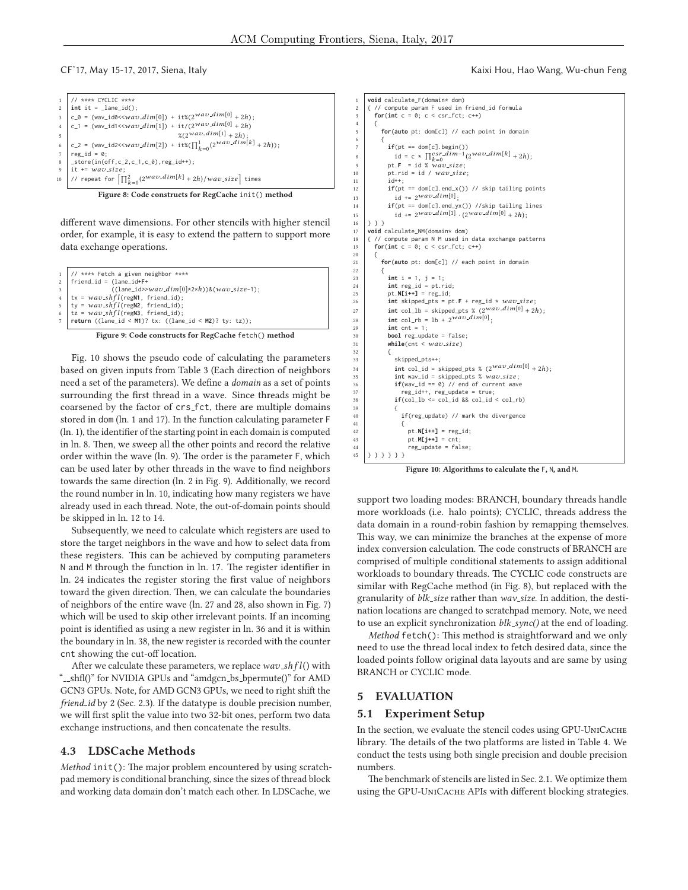| 1 // **** CYCLIC ****<br>2 <b>int</b> it = _lane_id();                                                                                                                                                      |
|-------------------------------------------------------------------------------------------------------------------------------------------------------------------------------------------------------------|
| $\begin{array}{ll} 3&c_0=\text{(wav_id0<\!\!<\!\!way.dim[0])+it\% (2^{wa}\text{v}.\text{dim}[0]+2h)\,;}\\ 4&c_1=\text{(wav_id1<\!\!<\!\!way.dim[1])+it/(2^{wa}\text{v}.\text{dim}[0]+2h)} \end{array}$      |
|                                                                                                                                                                                                             |
| $\frac{1}{2}(2^{wav\_dim[1]} + 2h)$ :                                                                                                                                                                       |
| 6<br>c_2 = (wav_id2< <wav_dim[2]) +="" it%(<math="">\prod_{k=0}^{k} (2^{wav} \cdot dim[k] + 2h));<br/> reg_id = 0;<br/> s <br/> s = tore(in(off,c_2,c_1,c_0),reg_id++);<br/> i t += wav_size;</wav_dim[2])> |
|                                                                                                                                                                                                             |
|                                                                                                                                                                                                             |
|                                                                                                                                                                                                             |
| 10  // repeat for $\left[\prod_{k=0}^{2} (2^{Wav\_dim[k]} + 2h)/Wav\_size\right]$ times                                                                                                                     |

**Figure 8: Code constructs for RegCache** init() **method**

different wave dimensions. For other stencils with higher stencil order, for example, it is easy to extend the pattern to support more data exchange operations.

|   | $1$ // **** Fetch a given neighbor ****                    |
|---|------------------------------------------------------------|
|   | $2$   friend_id = (lane_id+F+                              |
| 3 | $((\text{lane}_id >> wav_dim[0]*2*h))$ & $(wav_size-1);$   |
|   | $4   tx = wav\_shfl(regN1, friend_id);$                    |
|   | $5   ty = wav\_shfl(regn2, friend_id);$                    |
|   | 6   tz = $way\_shfl$ (regN3, friend_id);                   |
|   | 7   return ((lane_id < M1)? tx: ((lane_id < M2)? ty: tz)); |
|   |                                                            |
|   | $-$                                                        |



Fig. 10 shows the pseudo code of calculating the parameters based on given inputs from Table 3 (Each direction of neighbors need a set of the parameters). We define a *domain* as a set of points surrounding the first thread in a wave. Since threads might be coarsened by the factor of crs fct, there are multiple domains stored in dom (ln. 1 and 17). In the function calculating parameter F (ln. 1), the identifier of the starting point in each domain is computed in ln. 8. Then, we sweep all the other points and record the relative order within the wave (ln. 9). The order is the parameter F, which can be used later by other threads in the wave to find neighbors towards the same direction (ln. 2 in Fig. 9). Additionally, we record the round number in ln. 10, indicating how many registers we have already used in each thread. Note, the out-of-domain points should be skipped in ln. 12 to 14.

Subsequently, we need to calculate which registers are used to store the target neighbors in the wave and how to select data from these registers. This can be achieved by computing parameters N and M through the function in ln. 17. The register identifier in ln. 24 indicates the register storing the first value of neighbors toward the given direction. Then, we can calculate the boundaries of neighbors of the entire wave (ln. 27 and 28, also shown in Fig. 7) which will be used to skip other irrelevant points. If an incoming point is identified as using a new register in ln. 36 and it is within the boundary in ln. 38, the new register is recorded with the counter cnt showing the cut-off location.

After we calculate these parameters, we replace  $wav\_shfl()$  with "...shfl()" for NVIDIA GPUs and "amdgcn\_bs\_bpermute()" for AMD GCN3 GPUs. Note, for AMD GCN3 GPUs, we need to right shift the *friend\_id* by 2 (Sec. 2.3). If the datatype is double precision number, we will first split the value into two 32-bit ones, perform two data exchange instructions, and then concatenate the results.

#### **4.3 LDSCache Methods**

*Method* init(): The major problem encountered by using scratchpad memory is conditional branching, since the sizes of thread block and working data domain don't match each other. In LDSCache, we

#### CF'17, May 15-17, 2017, Siena, Italy Kaixi Hou, Hao Wang, Wu-chun Feng

```
1 void calculate_F(domain* dom)
 2 { // compute param F used in friend_id formula
3 for(int c = 0; c < csr_fct; c++)
 4 {
5 for(auto pt: dom[c]) // each point in domain
 6 {
\bar{z} if(pt == dom[c].begin())
8 id = c * \prod_{k=0}^{k} csrdim^{-1}(2^{\text{wa}}v \cdot dim[k] + 2h);<br>a id = c * \prod_{k=0}^{k} csr dim<sup>-1</sup>(2wav dim[k] + 2h);
             pt.F = id % \overline{w} \overline{av} size;
10 pt.rid = id / wav\_size;<br>11 id ++;
11 id++;
12 if(pt == dom[c].end_x()) // skip tailing points
13 id := 2^{wa\upsilon} \cdot dim[0];14 if(pt == dom[c].end_yx()) //skip tailing lines
15 id += 2^{wav\_dim[1]} \cdot (2^{wav\_dim[0]} + 2h);<br>16 \}\begin{array}{c|c} 16 & 3 & 3 \\ 17 & \text{void} \end{array}17 void calculate_NM(domain* dom)<br>18 { // compute param N M used in
18 { // compute param N M used in data exchange patterns
19 for(int c = 0; c < csr_fct; c++)
20 {
21 for(auto pt: dom[c]) // each point in domain
\frac{22}{23}int i = 1, j = 1;24 int reg_id = pt.rid;<br>
pt.N[i++] = reg_id;25 pt. N[i+1] = \text{reg_id};<br>26 int skipped pts = p
             int skipped_pts = pt.F + reg_id * wav_size;
27 int col_lb = skipped_pts % (2^{Wav\_dim[0]} + 2h);28 int col_rb = lb + 2wav-dim[0];<br>29 int cnt = 1;
             int cnt = 1;
30 bool reg_update = false;<br>31 bool reg_update = false;
             while(cnt < wav_size)
32 {
33 skipped_pts++;
34 int col_id = skipped_pts % (2^{Wav\_dim[0]} + 2h);<br>35 int wav_id = skipped_pts % wav\_size;
                int wav_id = skipped_pts % wav_size;
36 if(wav_id == 0) // end of current wave<br>37 if reg_update = true;
37 reg_id++, reg_update = true;<br>38 if(col_lb <= col_id && col_id
                if(col_l b \leq col_id \& col_id \leq col_r b)39 {
40 if(reg_update) // mark the divergence<br>41 {
41 {
42 pt. N[i+1] = reg_id;<br>
43 pt. M[j+1] = cnt;pt.M[j++] = cnt;44 reg_update = false;
45 }}}}}}
```
**Figure 10: Algorithms to calculate the** F**,** N**, and** M**.**

support two loading modes: BRANCH, boundary threads handle more workloads (i.e. halo points); CYCLIC, threads address the data domain in a round-robin fashion by remapping themselves. This way, we can minimize the branches at the expense of more index conversion calculation. The code constructs of BRANCH are comprised of multiple conditional statements to assign additional workloads to boundary threads. The CYCLIC code constructs are similar with RegCache method (in Fig. 8), but replaced with the granularity of *blk size* rather than *wav size*. In addition, the destination locations are changed to scratchpad memory. Note, we need to use an explicit synchronization *blk sync()* at the end of loading.

*Method* fetch(): This method is straightforward and we only need to use the thread local index to fetch desired data, since the loaded points follow original data layouts and are same by using BRANCH or CYCLIC mode.

#### **5 EVALUATION**

#### **5.1 Experiment Setup**

In the section, we evaluate the stencil codes using GPU-UniCache library. The details of the two platforms are listed in Table 4. We conduct the tests using both single precision and double precision numbers.

The benchmark of stencils are listed in Sec. 2.1. We optimize them using the GPU-UniCache APIs with different blocking strategies.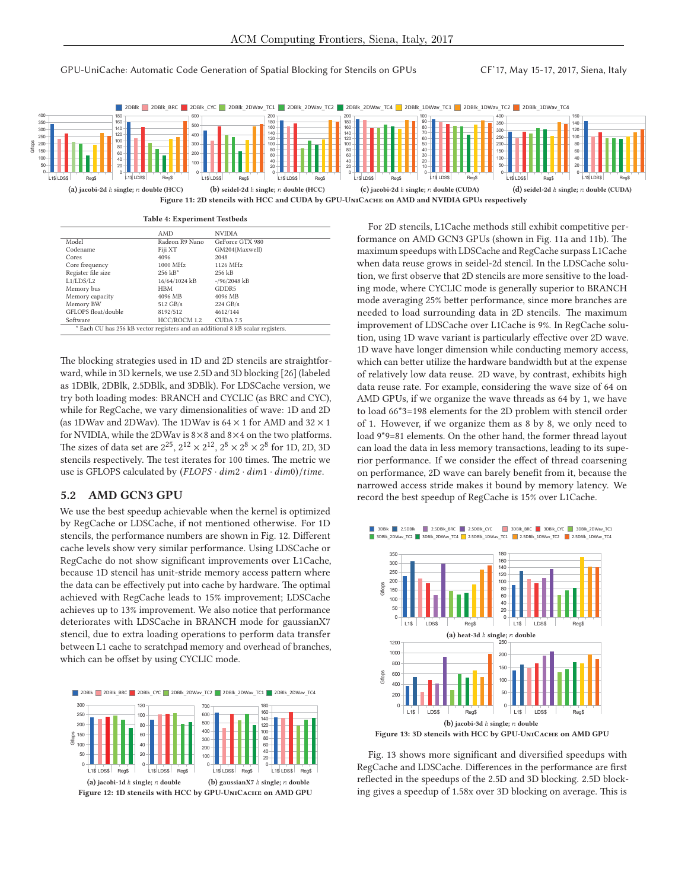

**Table 4: Experiment Testbeds**

|                                                                                | AMD            | <b>NVIDIA</b>   |  |  |  |  |  |
|--------------------------------------------------------------------------------|----------------|-----------------|--|--|--|--|--|
| Model                                                                          | Radeon R9 Nano | GeForce GTX 980 |  |  |  |  |  |
| Codename                                                                       | Fiji XT        | GM204(Maxwell)  |  |  |  |  |  |
| Cores                                                                          | 4096           | 2048            |  |  |  |  |  |
| Core frequency                                                                 | 1000 MHz       | 1126 MHz        |  |  |  |  |  |
| Register file size                                                             | $256$ $kB^*$   | 256 kB          |  |  |  |  |  |
| L1/LDS/L2                                                                      | 16/64/1024 kB  | $-$ /96/2048 kB |  |  |  |  |  |
| Memory bus                                                                     | HBM            | GDDR5           |  |  |  |  |  |
| Memory capacity                                                                | 4096 MB        | 4096 MB         |  |  |  |  |  |
| Memory BW                                                                      | 512 GB/s       | $224$ GB/s      |  |  |  |  |  |
| GFLOPS float/double                                                            | 8192/512       | 4612/144        |  |  |  |  |  |
| Software                                                                       | HCC/ROCM 1.2   | CUDA 7.5        |  |  |  |  |  |
| * Each CU has 256 kB vector registers and an additional 8 kB scalar registers. |                |                 |  |  |  |  |  |

The blocking strategies used in 1D and 2D stencils are straightforward, while in 3D kernels, we use 2.5D and 3D blocking [26] (labeled as 1DBlk, 2DBlk, 2.5DBlk, and 3DBlk). For LDSCache version, we try both loading modes: BRANCH and CYCLIC (as BRC and CYC), while for RegCache, we vary dimensionalities of wave: 1D and 2D (as 1DWav and 2DWav). The 1DWav is  $64 \times 1$  for AMD and  $32 \times 1$ for NVIDIA, while the 2DWav is  $8\times 8$  and  $8\times 4$  on the two platforms. The sizes of data set are  $2^{25}$ ,  $2^{12} \times 2^{12}$ ,  $2^8 \times 2^8 \times 2^8$  for 1D, 2D, 3D stencils respectively. The test iterates for 100 times. The metric we use is GFLOPS calculated by  $(FLOPS \cdot dim2 \cdot dim1 \cdot dim0)/time$ .

#### **5.2 AMD GCN3 GPU**

We use the best speedup achievable when the kernel is optimized by RegCache or LDSCache, if not mentioned otherwise. For 1D stencils, the performance numbers are shown in Fig. 12. Different cache levels show very similar performance. Using LDSCache or RegCache do not show significant improvements over L1Cache, because 1D stencil has unit-stride memory access pattern where the data can be effectively put into cache by hardware. The optimal achieved with RegCache leads to 15% improvement; LDSCache achieves up to 13% improvement. We also notice that performance deteriorates with LDSCache in BRANCH mode for gaussianX7 stencil, due to extra loading operations to perform data transfer between L1 cache to scratchpad memory and overhead of branches, which can be offset by using CYCLIC mode.



For 2D stencils, L1Cache methods still exhibit competitive performance on AMD GCN3 GPUs (shown in Fig. 11a and 11b). The maximum speedups with LDSCache and RegCache surpass L1Cache when data reuse grows in seidel-2d stencil. In the LDSCache solution, we first observe that 2D stencils are more sensitive to the loading mode, where CYCLIC mode is generally superior to BRANCH mode averaging 25% better performance, since more branches are needed to load surrounding data in 2D stencils. The maximum improvement of LDSCache over L1Cache is 9%. In RegCache solution, using 1D wave variant is particularly effective over 2D wave. 1D wave have longer dimension while conducting memory access, which can better utilize the hardware bandwidth but at the expense of relatively low data reuse. 2D wave, by contrast, exhibits high data reuse rate. For example, considering the wave size of 64 on AMD GPUs, if we organize the wave threads as 64 by 1, we have to load 66\*3=198 elements for the 2D problem with stencil order of 1. However, if we organize them as 8 by 8, we only need to load 9\*9=81 elements. On the other hand, the former thread layout can load the data in less memory transactions, leading to its superior performance. If we consider the effect of thread coarsening on performance, 2D wave can barely benefit from it, because the narrowed access stride makes it bound by memory latency. We record the best speedup of RegCache is 15% over L1Cache.





Fig. 13 shows more significant and diversified speedups with RegCache and LDSCache. Differences in the performance are first reflected in the speedups of the 2.5D and 3D blocking. 2.5D blocking gives a speedup of 1.58x over 3D blocking on average. This is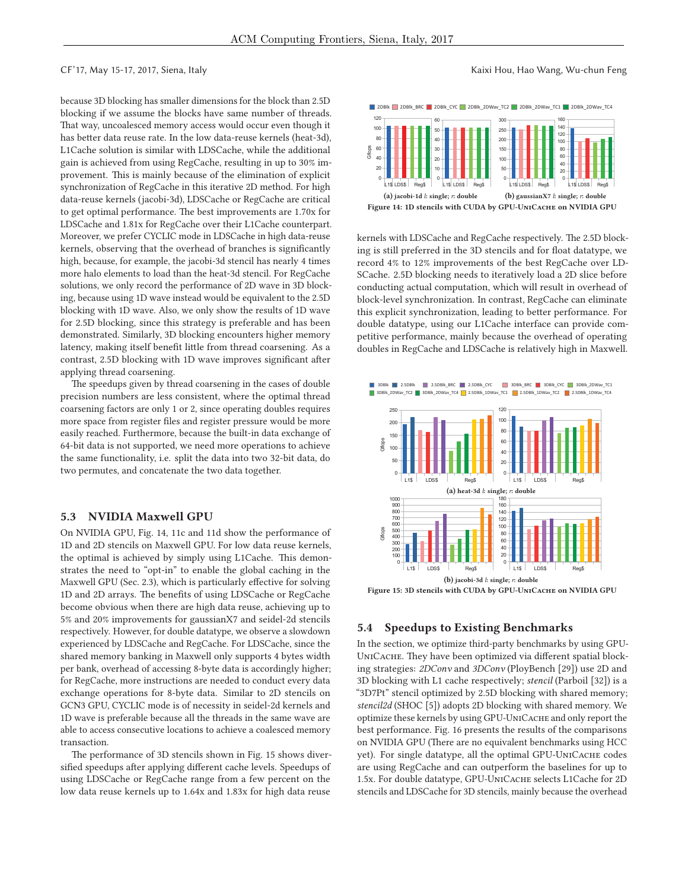because 3D blocking has smaller dimensions for the block than 2.5D blocking if we assume the blocks have same number of threads. That way, uncoalesced memory access would occur even though it has better data reuse rate. In the low data-reuse kernels (heat-3d), L1Cache solution is similar with LDSCache, while the additional gain is achieved from using RegCache, resulting in up to 30% improvement. This is mainly because of the elimination of explicit synchronization of RegCache in this iterative 2D method. For high data-reuse kernels (jacobi-3d), LDSCache or RegCache are critical to get optimal performance. The best improvements are 1.70x for LDSCache and 1.81x for RegCache over their L1Cache counterpart. Moreover, we prefer CYCLIC mode in LDSCache in high data-reuse kernels, observing that the overhead of branches is significantly high, because, for example, the jacobi-3d stencil has nearly 4 times more halo elements to load than the heat-3d stencil. For RegCache solutions, we only record the performance of 2D wave in 3D blocking, because using 1D wave instead would be equivalent to the 2.5D blocking with 1D wave. Also, we only show the results of 1D wave for 2.5D blocking, since this strategy is preferable and has been demonstrated. Similarly, 3D blocking encounters higher memory latency, making itself benefit little from thread coarsening. As a contrast, 2.5D blocking with 1D wave improves significant after applying thread coarsening.

The speedups given by thread coarsening in the cases of double precision numbers are less consistent, where the optimal thread coarsening factors are only 1 or 2, since operating doubles requires more space from register files and register pressure would be more easily reached. Furthermore, because the built-in data exchange of 64-bit data is not supported, we need more operations to achieve the same functionality, i.e. split the data into two 32-bit data, do two permutes, and concatenate the two data together.

#### **5.3 NVIDIA Maxwell GPU**

On NVIDIA GPU, Fig. 14, 11c and 11d show the performance of 1D and 2D stencils on Maxwell GPU. For low data reuse kernels, the optimal is achieved by simply using L1Cache. This demonstrates the need to "opt-in" to enable the global caching in the Maxwell GPU (Sec. 2.3), which is particularly effective for solving 1D and 2D arrays. The benefits of using LDSCache or RegCache become obvious when there are high data reuse, achieving up to 5% and 20% improvements for gaussianX7 and seidel-2d stencils respectively. However, for double datatype, we observe a slowdown experienced by LDSCache and RegCache. For LDSCache, since the shared memory banking in Maxwell only supports 4 bytes width per bank, overhead of accessing 8-byte data is accordingly higher; for RegCache, more instructions are needed to conduct every data exchange operations for 8-byte data. Similar to 2D stencils on GCN3 GPU, CYCLIC mode is of necessity in seidel-2d kernels and 1D wave is preferable because all the threads in the same wave are able to access consecutive locations to achieve a coalesced memory transaction.

The performance of 3D stencils shown in Fig. 15 shows diversified speedups after applying different cache levels. Speedups of using LDSCache or RegCache range from a few percent on the low data reuse kernels up to 1.64x and 1.83x for high data reuse

#### CF'17, May 15-17, 2017, Siena, Italy Kaixi Hou, Hao Wang, Wu-chun Feng



kernels with LDSCache and RegCache respectively. The 2.5D blocking is still preferred in the 3D stencils and for float datatype, we record 4% to 12% improvements of the best RegCache over LD-SCache. 2.5D blocking needs to iteratively load a 2D slice before conducting actual computation, which will result in overhead of block-level synchronization. In contrast, RegCache can eliminate this explicit synchronization, leading to better performance. For double datatype, using our L1Cache interface can provide competitive performance, mainly because the overhead of operating doubles in RegCache and LDSCache is relatively high in Maxwell.



#### **5.4 Speedups to Existing Benchmarks**

In the section, we optimize third-party benchmarks by using GPU-UNICACHE. They have been optimized via different spatial blocking strategies: *2DConv* and *3DConv* (PloyBench [29]) use 2D and 3D blocking with L1 cache respectively; *stencil* (Parboil [32]) is a "3D7Pt" stencil optimized by 2.5D blocking with shared memory; *stencil2d* (SHOC [5]) adopts 2D blocking with shared memory. We optimize these kernels by using GPU-UniCache and only report the best performance. Fig. 16 presents the results of the comparisons on NVIDIA GPU (There are no equivalent benchmarks using HCC yet). For single datatype, all the optimal GPU-UNICACHE codes are using RegCache and can outperform the baselines for up to 1.5x. For double datatype, GPU-UniCache selects L1Cache for 2D stencils and LDSCache for 3D stencils, mainly because the overhead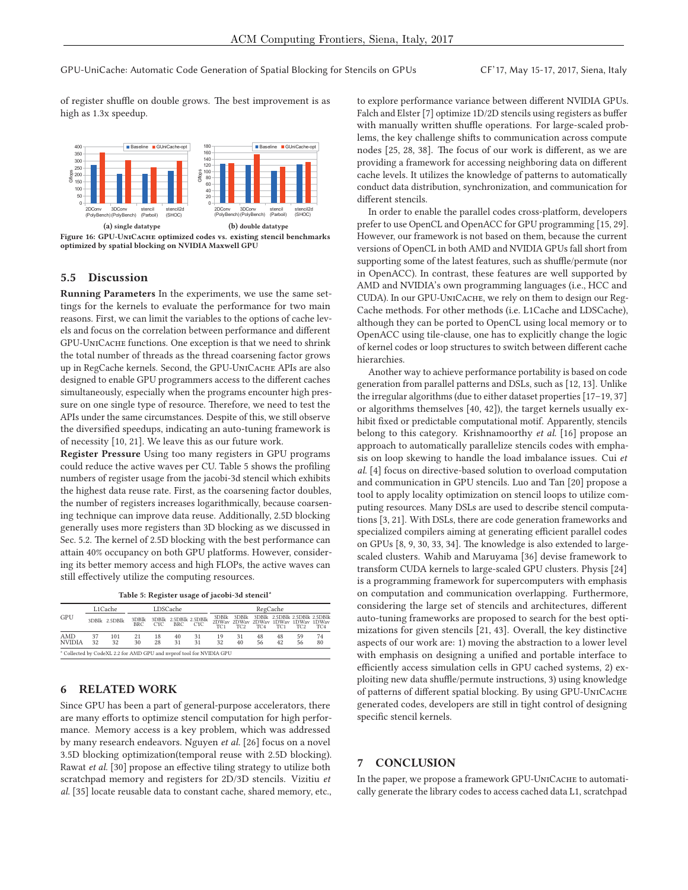of register shuffle on double grows. The best improvement is as high as 1.3x speedup.



**Figure 16: GPU-UniCache optimized codes vs. existing stencil benchmarks optimized by spatial blocking on NVIDIA Maxwell GPU**

### **5.5 Discussion**

**Running Parameters** In the experiments, we use the same settings for the kernels to evaluate the performance for two main reasons. First, we can limit the variables to the options of cache levels and focus on the correlation between performance and different GPU-UniCache functions. One exception is that we need to shrink the total number of threads as the thread coarsening factor grows up in RegCache kernels. Second, the GPU-UniCache APIs are also designed to enable GPU programmers access to the different caches simultaneously, especially when the programs encounter high pressure on one single type of resource. Therefore, we need to test the APIs under the same circumstances. Despite of this, we still observe the diversified speedups, indicating an auto-tuning framework is of necessity [10, 21]. We leave this as our future work.

**Register Pressure** Using too many registers in GPU programs could reduce the active waves per CU. Table 5 shows the profiling numbers of register usage from the jacobi-3d stencil which exhibits the highest data reuse rate. First, as the coarsening factor doubles, the number of registers increases logarithmically, because coarsening technique can improve data reuse. Additionally, 2.5D blocking generally uses more registers than 3D blocking as we discussed in Sec. 5.2. The kernel of 2.5D blocking with the best performance can attain 40% occupancy on both GPU platforms. However, considering its better memory access and high FLOPs, the active waves can still effectively utilize the computing resources.

| Table 5: Register usage of jacobi-3d stencil* |  |  |  |
|-----------------------------------------------|--|--|--|
|-----------------------------------------------|--|--|--|

| GPU                                                                  | L1Cache  |               | LDSCache     |            |                                     | RegCache   |                          |                          |                 |                 |                                                                                         |                 |
|----------------------------------------------------------------------|----------|---------------|--------------|------------|-------------------------------------|------------|--------------------------|--------------------------|-----------------|-----------------|-----------------------------------------------------------------------------------------|-----------------|
|                                                                      |          | 3DBlk 2.5DBlk | 3DBlk<br>BRC | <b>CYC</b> | 3DBlk 2.5DBlk 2.5DBlk<br><b>BRC</b> | <b>CYC</b> | 3DBlk<br>TC <sub>1</sub> | 3DBlk<br>TC <sub>2</sub> | TC <sub>4</sub> | TC <sub>1</sub> | 3DBlk 2.5DBlk 2.5DBlk 2.5DBlk<br>2DWay 2DWay 2DWay 1DWay 1DWay 1DWay<br>TC <sub>2</sub> | TC <sub>4</sub> |
| AMD<br><b>NVIDIA</b>                                                 | 37<br>32 | 101<br>32     | 21<br>30     | 18<br>28   | 40<br>31                            | 31<br>31   | 19<br>32                 | 31<br>40                 | 48<br>56        | 48<br>42        | 59<br>56                                                                                | 74<br>80        |
| * Collected by CodeXL 2.2 for AMD GPU and nyprof tool for NVIDIA GPU |          |               |              |            |                                     |            |                          |                          |                 |                 |                                                                                         |                 |

#### **6 RELATED WORK**

Since GPU has been a part of general-purpose accelerators, there are many efforts to optimize stencil computation for high performance. Memory access is a key problem, which was addressed by many research endeavors. Nguyen *et al.* [26] focus on a novel 3.5D blocking optimization(temporal reuse with 2.5D blocking). Rawat *et al.* [30] propose an effective tiling strategy to utilize both scratchpad memory and registers for 2D/3D stencils. Vizitiu *et al.* [35] locate reusable data to constant cache, shared memory, etc.,

to explore performance variance between different NVIDIA GPUs. Falch and Elster [7] optimize 1D/2D stencils using registers as buffer with manually written shuffle operations. For large-scaled problems, the key challenge shifts to communication across compute nodes [25, 28, 38]. The focus of our work is different, as we are providing a framework for accessing neighboring data on different cache levels. It utilizes the knowledge of patterns to automatically conduct data distribution, synchronization, and communication for different stencils.

In order to enable the parallel codes cross-platform, developers prefer to use OpenCL and OpenACC for GPU programming [15, 29]. However, our framework is not based on them, because the current versions of OpenCL in both AMD and NVIDIA GPUs fall short from supporting some of the latest features, such as shuffle/permute (nor in OpenACC). In contrast, these features are well supported by AMD and NVIDIA's own programming languages (i.e., HCC and CUDA). In our GPU-UniCache, we rely on them to design our Reg-Cache methods. For other methods (i.e. L1Cache and LDSCache), although they can be ported to OpenCL using local memory or to OpenACC using tile-clause, one has to explicitly change the logic of kernel codes or loop structures to switch between different cache hierarchies.

Another way to achieve performance portability is based on code generation from parallel patterns and DSLs, such as [12, 13]. Unlike the irregular algorithms (due to either dataset properties [17–19, 37] or algorithms themselves [40, 42]), the target kernels usually exhibit fixed or predictable computational motif. Apparently, stencils belong to this category. Krishnamoorthy *et al.* [16] propose an approach to automatically parallelize stencils codes with emphasis on loop skewing to handle the load imbalance issues. Cui *et al.* [4] focus on directive-based solution to overload computation and communication in GPU stencils. Luo and Tan [20] propose a tool to apply locality optimization on stencil loops to utilize computing resources. Many DSLs are used to describe stencil computations [3, 21]. With DSLs, there are code generation frameworks and specialized compilers aiming at generating efficient parallel codes on GPUs [8, 9, 30, 33, 34]. The knowledge is also extended to largescaled clusters. Wahib and Maruyama [36] devise framework to transform CUDA kernels to large-scaled GPU clusters. Physis [24] is a programming framework for supercomputers with emphasis on computation and communication overlapping. Furthermore, considering the large set of stencils and architectures, different auto-tuning frameworks are proposed to search for the best optimizations for given stencils [21, 43]. Overall, the key distinctive aspects of our work are: 1) moving the abstraction to a lower level with emphasis on designing a unified and portable interface to efficiently access simulation cells in GPU cached systems, 2) exploiting new data shuffle/permute instructions, 3) using knowledge of patterns of different spatial blocking. By using GPU-UniCache generated codes, developers are still in tight control of designing specific stencil kernels.

#### **7 CONCLUSION**

In the paper, we propose a framework GPU-UniCache to automatically generate the library codes to access cached data L1, scratchpad